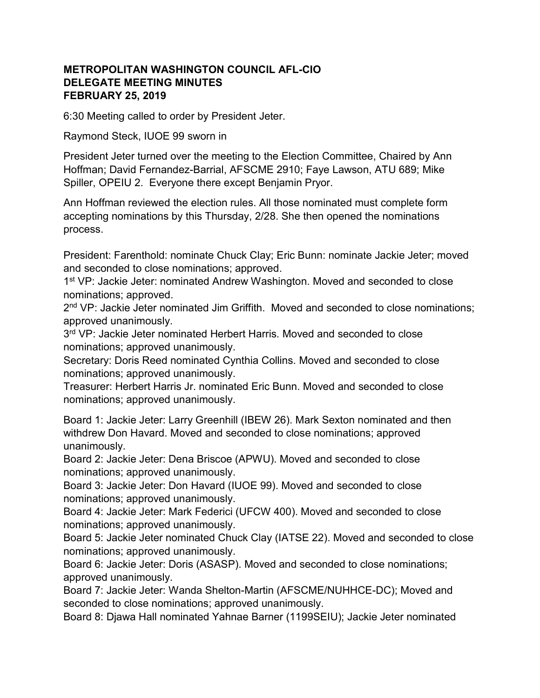## METROPOLITAN WASHINGTON COUNCIL AFL-CIO DELEGATE MEETING MINUTES FEBRUARY 25, 2019

6:30 Meeting called to order by President Jeter.

Raymond Steck, IUOE 99 sworn in

President Jeter turned over the meeting to the Election Committee, Chaired by Ann Hoffman; David Fernandez-Barrial, AFSCME 2910; Faye Lawson, ATU 689; Mike Spiller, OPEIU 2. Everyone there except Benjamin Pryor.

Ann Hoffman reviewed the election rules. All those nominated must complete form accepting nominations by this Thursday, 2/28. She then opened the nominations process.

President: Farenthold: nominate Chuck Clay; Eric Bunn: nominate Jackie Jeter; moved and seconded to close nominations; approved.

1<sup>st</sup> VP: Jackie Jeter: nominated Andrew Washington. Moved and seconded to close nominations; approved.

2<sup>nd</sup> VP: Jackie Jeter nominated Jim Griffith. Moved and seconded to close nominations; approved unanimously.

3<sup>rd</sup> VP: Jackie Jeter nominated Herbert Harris. Moved and seconded to close nominations; approved unanimously.

Secretary: Doris Reed nominated Cynthia Collins. Moved and seconded to close nominations; approved unanimously.

Treasurer: Herbert Harris Jr. nominated Eric Bunn. Moved and seconded to close nominations; approved unanimously.

Board 1: Jackie Jeter: Larry Greenhill (IBEW 26). Mark Sexton nominated and then withdrew Don Havard. Moved and seconded to close nominations; approved unanimously.

Board 2: Jackie Jeter: Dena Briscoe (APWU). Moved and seconded to close nominations; approved unanimously.

Board 3: Jackie Jeter: Don Havard (IUOE 99). Moved and seconded to close nominations; approved unanimously.

Board 4: Jackie Jeter: Mark Federici (UFCW 400). Moved and seconded to close nominations; approved unanimously.

Board 5: Jackie Jeter nominated Chuck Clay (IATSE 22). Moved and seconded to close nominations; approved unanimously.

Board 6: Jackie Jeter: Doris (ASASP). Moved and seconded to close nominations; approved unanimously.

Board 7: Jackie Jeter: Wanda Shelton-Martin (AFSCME/NUHHCE-DC); Moved and seconded to close nominations; approved unanimously.

Board 8: Djawa Hall nominated Yahnae Barner (1199SEIU); Jackie Jeter nominated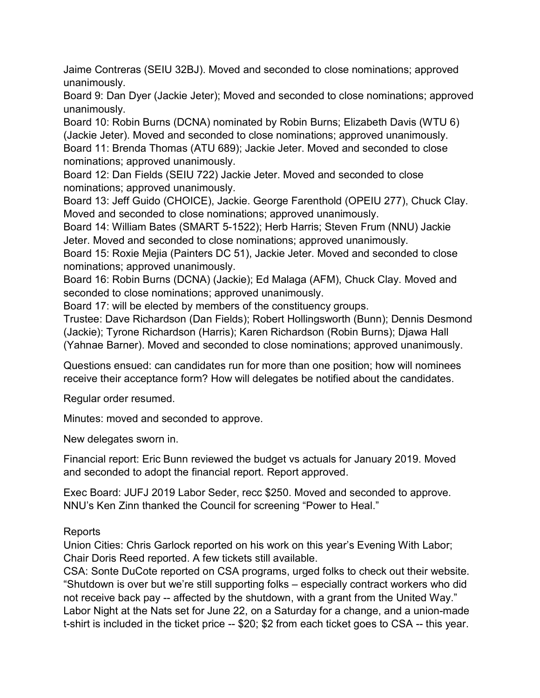Jaime Contreras (SEIU 32BJ). Moved and seconded to close nominations; approved unanimously.

Board 9: Dan Dyer (Jackie Jeter); Moved and seconded to close nominations; approved unanimously.

Board 10: Robin Burns (DCNA) nominated by Robin Burns; Elizabeth Davis (WTU 6) (Jackie Jeter). Moved and seconded to close nominations; approved unanimously. Board 11: Brenda Thomas (ATU 689); Jackie Jeter. Moved and seconded to close nominations; approved unanimously.

Board 12: Dan Fields (SEIU 722) Jackie Jeter. Moved and seconded to close nominations; approved unanimously.

Board 13: Jeff Guido (CHOICE), Jackie. George Farenthold (OPEIU 277), Chuck Clay. Moved and seconded to close nominations; approved unanimously.

Board 14: William Bates (SMART 5-1522); Herb Harris; Steven Frum (NNU) Jackie Jeter. Moved and seconded to close nominations; approved unanimously.

Board 15: Roxie Mejia (Painters DC 51), Jackie Jeter. Moved and seconded to close nominations; approved unanimously.

Board 16: Robin Burns (DCNA) (Jackie); Ed Malaga (AFM), Chuck Clay. Moved and seconded to close nominations; approved unanimously.

Board 17: will be elected by members of the constituency groups.

Trustee: Dave Richardson (Dan Fields); Robert Hollingsworth (Bunn); Dennis Desmond (Jackie); Tyrone Richardson (Harris); Karen Richardson (Robin Burns); Djawa Hall (Yahnae Barner). Moved and seconded to close nominations; approved unanimously.

Questions ensued: can candidates run for more than one position; how will nominees receive their acceptance form? How will delegates be notified about the candidates.

Regular order resumed.

Minutes: moved and seconded to approve.

New delegates sworn in.

Financial report: Eric Bunn reviewed the budget vs actuals for January 2019. Moved and seconded to adopt the financial report. Report approved.

Exec Board: JUFJ 2019 Labor Seder, recc \$250. Moved and seconded to approve. NNU's Ken Zinn thanked the Council for screening "Power to Heal."

## Reports

Union Cities: Chris Garlock reported on his work on this year's Evening With Labor; Chair Doris Reed reported. A few tickets still available.

CSA: Sonte DuCote reported on CSA programs, urged folks to check out their website. "Shutdown is over but we're still supporting folks – especially contract workers who did not receive back pay -- affected by the shutdown, with a grant from the United Way." Labor Night at the Nats set for June 22, on a Saturday for a change, and a union-made t-shirt is included in the ticket price -- \$20; \$2 from each ticket goes to CSA -- this year.